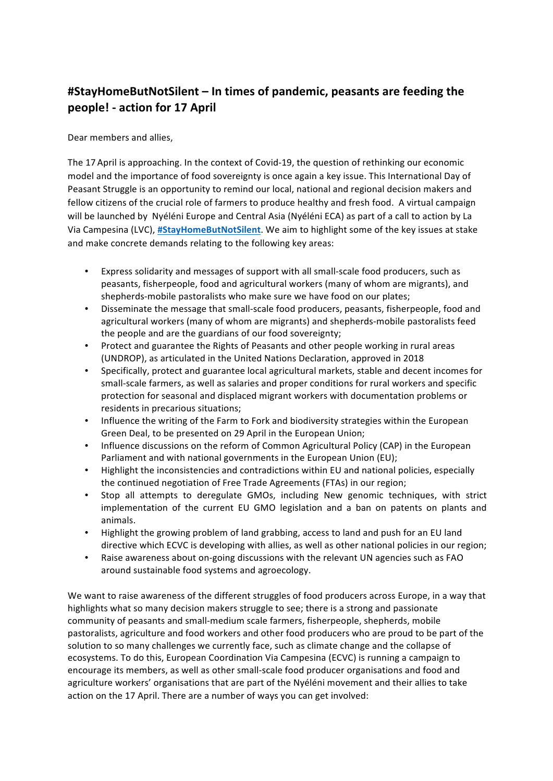## **#StayHomeButNotSilent – In times of pandemic, peasants are feeding the** people! - action for 17 April

Dear members and allies.

The 17 April is approaching. In the context of Covid-19, the question of rethinking our economic model and the importance of food sovereignty is once again a key issue. This International Day of Peasant Struggle is an opportunity to remind our local, national and regional decision makers and fellow citizens of the crucial role of farmers to produce healthy and fresh food. A virtual campaign will be launched by Nyéléni Europe and Central Asia (Nyéléni ECA) as part of a call to action by La Via Campesina (LVC), #StayHomeButNotSilent. We aim to highlight some of the key issues at stake and make concrete demands relating to the following key areas:

- Express solidarity and messages of support with all small-scale food producers, such as peasants, fisherpeople, food and agricultural workers (many of whom are migrants), and shepherds-mobile pastoralists who make sure we have food on our plates;
- Disseminate the message that small-scale food producers, peasants, fisherpeople, food and agricultural workers (many of whom are migrants) and shepherds-mobile pastoralists feed the people and are the guardians of our food sovereignty;
- Protect and guarantee the Rights of Peasants and other people working in rural areas (UNDROP), as articulated in the United Nations Declaration, approved in 2018
- Specifically, protect and guarantee local agricultural markets, stable and decent incomes for small-scale farmers, as well as salaries and proper conditions for rural workers and specific protection for seasonal and displaced migrant workers with documentation problems or residents in precarious situations;
- Influence the writing of the Farm to Fork and biodiversity strategies within the European Green Deal, to be presented on 29 April in the European Union;
- Influence discussions on the reform of Common Agricultural Policy (CAP) in the European Parliament and with national governments in the European Union (EU);
- Highlight the inconsistencies and contradictions within EU and national policies, especially the continued negotiation of Free Trade Agreements (FTAs) in our region;
- Stop all attempts to deregulate GMOs, including New genomic techniques, with strict implementation of the current EU GMO legislation and a ban on patents on plants and animals.
- Highlight the growing problem of land grabbing, access to land and push for an EU land directive which ECVC is developing with allies, as well as other national policies in our region;
- Raise awareness about on-going discussions with the relevant UN agencies such as FAO around sustainable food systems and agroecology.

We want to raise awareness of the different struggles of food producers across Europe, in a way that highlights what so many decision makers struggle to see; there is a strong and passionate community of peasants and small-medium scale farmers, fisherpeople, shepherds, mobile pastoralists, agriculture and food workers and other food producers who are proud to be part of the solution to so many challenges we currently face, such as climate change and the collapse of ecosystems. To do this, European Coordination Via Campesina (ECVC) is running a campaign to encourage its members, as well as other small-scale food producer organisations and food and agriculture workers' organisations that are part of the Nyéléni movement and their allies to take action on the 17 April. There are a number of ways you can get involved: